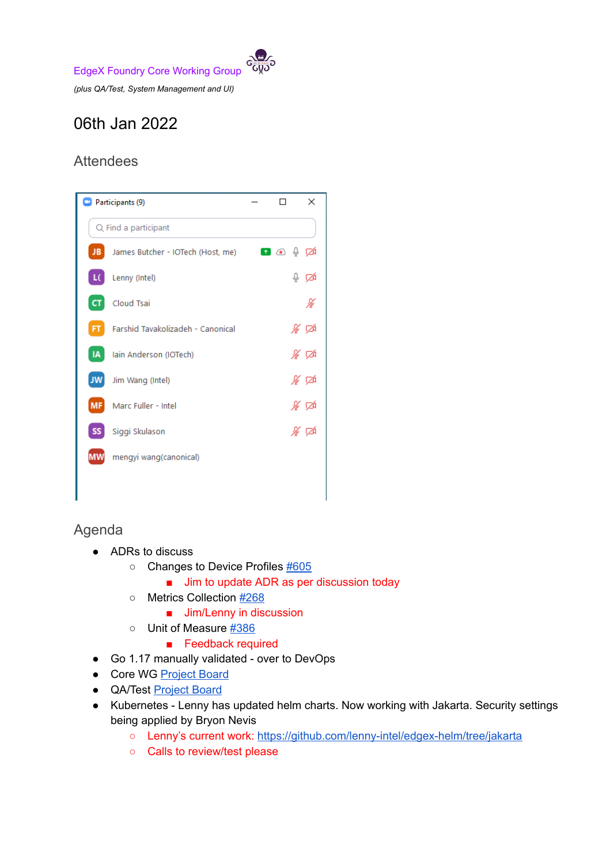EdgeX Foundry Core Working Group

*(plus QA/Test, System Management and UI)*

## 06th Jan 2022

## Attendees



## Agenda

- ADRs to discuss
	- Changes to Device Profiles [#605](https://github.com/edgexfoundry/edgex-docs/pull/605)
		- Jim to update ADR as per discussion today
	- Metrics Collection [#268](https://github.com/edgexfoundry/edgex-docs/pull/268)
		- Jim/Lenny in discussion
	- Unit of Measure [#386](https://github.com/edgexfoundry/edgex-docs/pull/386)
		- Feedback required
- Go 1.17 manually validated over to DevOps
- Core WG [Project](https://github.com/orgs/edgexfoundry/projects/25) Board
- QA/Test [Project](https://github.com/orgs/edgexfoundry/projects/27) Board
- Kubernetes Lenny has updated helm charts. Now working with Jakarta. Security settings being applied by Bryon Nevis
	- Lenny's current work: <https://github.com/lenny-intel/edgex-helm/tree/jakarta>
	- Calls to review/test please